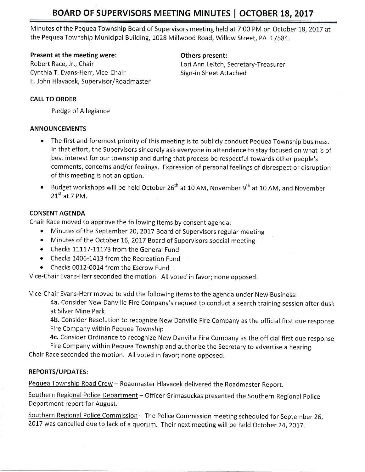# BOARD OF SUPERVISORS MEETING MINUTES | OCTOBER 18, 2017

Minutes of the Pequea Township Board of Supervisors meeting held at 7:00 PM on October 18, 2017 at the Pequea Township Municipal Building, 1028 Millwood Road, Willow Street, PA 17584.

### Present at the meeting were: The meeting others present:

Robert Race, Jr., Chair **Louis Ann Leitch, Secretary-Treasurer** Lori Ann Leitch, Secretary-Treasurer Cynthia T. Evans-Herr, Vice-Chair Sign-in Sheet Attached E. John Hlavacek, Supervisor/Roadmaster

## CALL TO ORDER

Pledge of Allegiance

### ANNOUNCEMENTS

- The first and foremost priority of this meeting is to publicly conduct Pequea Township business, In that effort, the Supervisors sincerely ask everyone in attendance to stay focused on what is of best interest for our township and during that process be respectful towards other people's comments, concerns and/or feelings. Expression of personal feelings of disrespect or disruption of this meeting is not an option.
- **•** Budget workshops will be held October 26<sup>th</sup> at 10 AM, November 9<sup>th</sup> at 10 AM, and November  $21^{\text{st}}$  at 7 PM.

## CONSENT AGENDA

Chair Race moved to approve the following items by consent agenda:

- Minutes of the September 20, 2017 Board of Supervisors regular meeting
- Minutes of the October 16, 2017 Board of Supervisors special meeting
- Checks 11117-11173 from the General Fund
- Checks 1406-1413 from the Recreation Fund
- Checks 0012-0014 from the Escrow Fund

Vice-chair Evans-Herr seconded the motion. All voted in favor; none opposed.

Vice-Chair Evans-Herr moved to add the following items to the agenda under New Business:

4a. Consider New Danville Fire Company's request to conduct a search training session after dusk at Silver Mine Park

4b. Consider Resolution to recognize New Danville Fire Company as the official first due response Fire Company within Pequea Township

4c. Consider Ordinance to recognize New Danville Fire Company as the official first due response

Fire Company within Pequea Township and authorize the Secretary to advertise a hearing; Chair Race seconded the motion. All voted in favor; none opposed.

## REPORTS/UPDATES:

Pequea Township Road Crew - Roadmaster Hlavacek delivered the Roadmaster Report.

Southern Regional Police Department - Officer Grimasuckas presented the Southern Regional Police Department report for August.

Southern Regional Police Commission - The Police Commission meeting scheduled for September 26, 2017 was cancelled due to lack of a quorum. Their next meeting will be held October 24, 2017.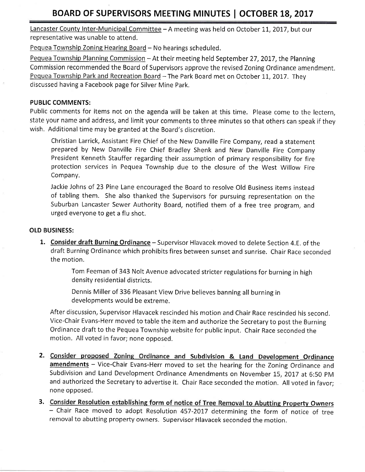## BOARD OF SUPERVISORS MEETING MINUTES | OCTOBER 18, 2017

Lancaster County Inter-Municipal Committee - A meeting was held on October 11, 2017, but our representative was unable to attend.

Pequea Township Zoning Hearing Board - No hearings scheduled.

Pequea Township Planning Commission - At their meeting held September 27, 2017, the Planning Commission recommended the Board of Supervisors approve the revised Zoning Ordinance amendment. Pequea Township Park and Recreation Board - The Park Board met on October 11, 2017. They discussed having a Facebook page for Silver Mine Park,

#### PUBLIC COMMENTS:

Public comments for items not on the agenda will be taken at this time. Please come to the lectern, state your name and address, and limit your comments to three minutes so that others can speak if they wish. Additional time may be granted at the Board's discretion.

Christian Larrick, Assistant Fire Chief of the New Danville Fire Company, read a statement prepared by New Danville Fire Chief Bradley Shenk and New Danville Fire Company President Kenneth Stauffer regarding their assumption of primary responsibility for fire protection services in Pequea Township due to the closure of the West Willow Fire Company.

Jackie Johns of 23 Pine Lane encouraged the Board to resolve Old Business items instead of tabling them. She also thanked the Supervisors for pursuing representation on the Suburban Lancaster Sewer Authority Board, notified them of a free tree program, and urged everyone to get a flu shot,

#### OLD BUSINESS:

1. Consider draft Burning Ordinance - Supervisor Hlavacek moved to delete Section 4.E. of the draft Burning Ordinance which prohibits fires between sunset and sunrise. Chair Race serconded the motion.

> Tom Feeman of 343 Nolt Avenue advocated stricter regulations for burning in high density residential districts.

Dennis Miller of 336 Pleasant View Drive believes banning all burning in developments would be extreme.

After discussion, Supervisor Hlavacek rescinded his motion and Chair Race rescinded his second. Vice-Chair Evans-Herr moved to table the item and authorize the Secretaryto post the Burrning Ordinance draft to the Pequea Township website for public input, Chair Race seconded the motion. All voted in favor; none opposed.

- 2. Consider proposed Zoning Ordinance and Subdivision & Land Development Ordinance amendments - Vice-Chair Evans-Herr moved to set the hearing for the Zoning Ordinance and Subdivision and Land Development Ordinance Amendments on November 15, 2017 at 6:50 PM and authorized the Secretary to advertise it. Chair Race seconded the motion. All voted in favor; none opposed.
- 3. Consider Resolution establishing form of notice of Tree Removal to Abutting Property Owners - Chair Race moved to adopt Resolution 457-2017 determining the form of notice of tree removal to abutting property owners. Supervisor Hlavacek seconded the motion.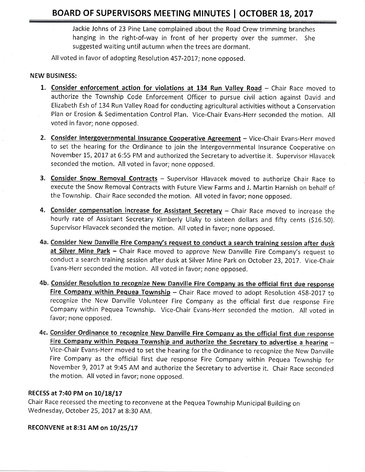Jackie Johns of 23 Pine Lane complained about the Road Crew trimming branches hanging in the right-of-way in front of her property over the summer. She suggested waiting until autumn when the trees are dormant.

All voted in favor of adopting Resolution 457-2017; none opposed.

#### NEW BUSINESS:

- 1. Consider enforcement action for violations at 134 Run Valley Road Chair Race moved to authorize the Township Code Enforcement Officer to pursue civil action against David and Elizabeth Esh of 134 Run Valley Road for conducting agricultural activities without a Conservation Plan or Erosion & Sedimentation Control Plan. Vice-Chair Evans-Herr seconded the motion. All voted in favor; none opposed.
- 2. Consider Intergovernmental Insurance Cooperative Agreement Vice-Chair Evans-Herr moved to set the hearing for the Ordinance to join the Intergovernmental Insurance Cooperative on November 15, 2017 at 6:55 PM and authorized the Secretary to advertise it. Supervisor Hlavacek seconded the motion. All voted in favor; none opposed.
- 3. Consider Snow Removal Contracts Supervisor Hlavacek moved to authorize Chair Race to execute the Snow Removal Contracts with Future View Farms and J. Martin Harnish on behalf of the Township. Chair Race seconded the motion. All voted in favor; none opposed.
- 4. Consider compensation increase for Assistant Secretary Chair Race moved to increase the hourly rate of Assistant Secretary Kimberly Ulaky to sixteen dollars and fifty cents (516.50). Supervisor Hlavacek seconded the motion. All voted in favor; none opposed.
- 4a. Consider New Danville Fire Company's request to conduct a search training session after dusk at Silver Mine Park - Chair Race moved to approve New Danville Fire Company's request to conduct a search training session after dusk at Silver Mine Park on October 23, 2017. Vice-Chair Evans-Herr seconded the motion, Allvoted in favor; none opposed.
- 4b. Consider Resolution to recognize New Danville Fire Company as the official first due response Fire Company within Pequea Township - Chair Race moved to adopt Resolution 458-2017 to recognize the New Danville Volunteer Fire Company as the official first due response Fire Company within Pequea Township. Vice-Chair Evans-Herr seconded the motion. All voted in favor; none opposed,
- 4c. Consider Ordinance to recognize New Danville Fire Company as the official first due response Fire Company within Pequea Township and authorize the Secretary to advertise a hearing -Vice-Chair Evans-Herr moved to set the hearing for the Ordinance to recognize the New Danville Fire Company as the official first due response Fire Company within Pequea Township for November 9,2017 at 9:45 AM and authorize the Secretary to advertise it. Chair Race seconded the motion. All voted in favor; none opposed.

#### RECESS at 7:40 PM on 10/18/17

Chair Race recessed the meeting to reconvene at the Pequea Township Municipal Building on Wednesday, October 25, 2017 at 8:30 AM.

#### RECONVENE at 8:31 AM on 10/25/17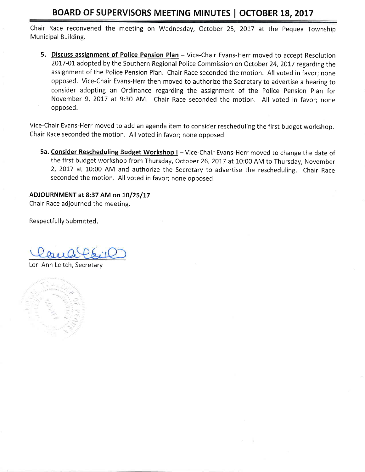## BOARD OF SUPERVISORS MEETING MINUTES | OCTOBER 18, 2017

Chair Race reconvened the meeting on Wednesday, October 25, 2017 at the Pequea Township Municipal Building.

5. Discuss assignment of Police Pension Plan - Vice-Chair Evans-Herr moved to accept Resolution 2017-01 adopted by the Southern Regional Police Commission on October 24, 2017 regarding the assignment of the Police Pension Plan. Chair Race seconded the motion. All voted in favor; none opposed. Vice-Chair Evans-Herr then moved to authorize the Secretary to advertise a hearing to consider adopting an Ordinance regarding the assignment of the Police Pension Plan for November 9, 2017 at 9:30 AM. Chair Race seconded the motion. All voted in favor; none opposed.

Vice-Chair Evans-Herr moved to add an agenda item to consider rescheduling the first budget workshop. Chair Race seconded the motion. All voted in favor; none opposed.

5a. Consider Rescheduling Budget Workshop I - Vice-Chair Evans-Herr moved to change the date of the first budget workshop from Thursday, October 26, 2017 at 10:00 AM to Thursday, November 2, 2017 at 10:00 AM and authorize the Secretary to advertise the rescheduling. Chair Race seconded the motion. All voted in favor; none opposed,

## ADJOURNMENT at 8:37 AM on 10/25/17

Chair Race adjourned the meeting.

Respectfully Submitted,

Lori Ann Leitch, Secretary

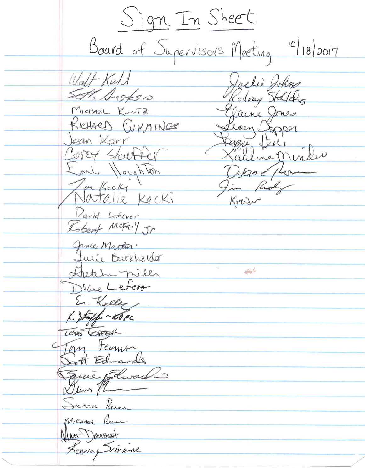Sign In Sheet Board of Supervisors Meeting 10/18/2017 Walt Kuhl Jackie John Sett Dastesio Kodney Stattery Michael Kuntz laine Jones Leen Soper RICHARD CUMMINGE Jean Karr 884 Die: Cover Starter Eml Houghton Duan & plom Joe Kecki Im Ridge Natalie Kecki Krader David Lefever Robert McFail Jr Janico Martin. Tutie Burkholder Shetche miles 平等 Drane Lefero E. Keller  $K.$  Staffe - ROPC LOTO GREAL Tom Fearum Scott Edwards Squie Flware Dum /2 Sasan Russ Micanoe Reuse Man Domeset Leavay Simpine